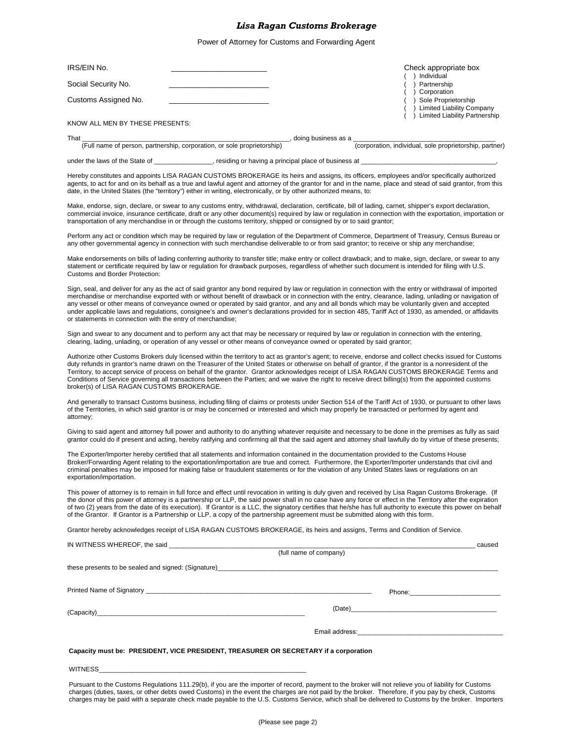### *Lisa Ragan Customs Brokerage*

Power of Attorney for Customs and Forwarding Agent

| IRS/EIN No.                                                                                                       |                                                                                                                                                                                                                                                                                            | Check appropriate box<br>() Individual                                                                                                                                                                                                                                                                                                                                                                                                                                                                                                                                                                                      |
|-------------------------------------------------------------------------------------------------------------------|--------------------------------------------------------------------------------------------------------------------------------------------------------------------------------------------------------------------------------------------------------------------------------------------|-----------------------------------------------------------------------------------------------------------------------------------------------------------------------------------------------------------------------------------------------------------------------------------------------------------------------------------------------------------------------------------------------------------------------------------------------------------------------------------------------------------------------------------------------------------------------------------------------------------------------------|
| Social Security No.                                                                                               |                                                                                                                                                                                                                                                                                            | ) Partnership                                                                                                                                                                                                                                                                                                                                                                                                                                                                                                                                                                                                               |
| Customs Assigned No.                                                                                              |                                                                                                                                                                                                                                                                                            | Corporation<br>() Sole Proprietorship<br>) Limited Liability Company                                                                                                                                                                                                                                                                                                                                                                                                                                                                                                                                                        |
| KNOW ALL MEN BY THESE PRESENTS:                                                                                   |                                                                                                                                                                                                                                                                                            | ) Limited Liability Partnership                                                                                                                                                                                                                                                                                                                                                                                                                                                                                                                                                                                             |
| That                                                                                                              | (Full name of person, partnership, corporation, or sole proprietorship) (doing business as a corpora                                                                                                                                                                                       |                                                                                                                                                                                                                                                                                                                                                                                                                                                                                                                                                                                                                             |
|                                                                                                                   |                                                                                                                                                                                                                                                                                            | (corporation, individual, sole proprietorship, partner)                                                                                                                                                                                                                                                                                                                                                                                                                                                                                                                                                                     |
|                                                                                                                   | under the laws of the State of <b>Example 20</b> interior or having a principal place of business at                                                                                                                                                                                       |                                                                                                                                                                                                                                                                                                                                                                                                                                                                                                                                                                                                                             |
| date, in the United States (the "territory") either in writing, electronically, or by other authorized means, to: |                                                                                                                                                                                                                                                                                            | Hereby constitutes and appoints LISA RAGAN CUSTOMS BROKERAGE its heirs and assigns, its officers, employees and/or specifically authorized<br>agents, to act for and on its behalf as a true and lawful agent and attorney of the grantor for and in the name, place and stead of said grantor, from this                                                                                                                                                                                                                                                                                                                   |
|                                                                                                                   | transportation of any merchandise in or through the customs territory, shipped or consigned by or to said grantor;                                                                                                                                                                         | Make, endorse, sign, declare, or swear to any customs entry, withdrawal, declaration, certificate, bill of lading, carnet, shipper's export declaration,<br>commercial invoice, insurance certificate, draft or any other document(s) required by law or regulation in connection with the exportation, importation or                                                                                                                                                                                                                                                                                                      |
|                                                                                                                   | any other governmental agency in connection with such merchandise deliverable to or from said grantor; to receive or ship any merchandise;                                                                                                                                                 | Perform any act or condition which may be required by law or requlation of the Department of Commerce, Department of Treasury, Census Bureau or                                                                                                                                                                                                                                                                                                                                                                                                                                                                             |
| Customs and Border Protection:                                                                                    |                                                                                                                                                                                                                                                                                            | Make endorsements on bills of lading conferring authority to transfer title; make entry or collect drawback; and to make, sign, declare, or swear to any<br>statement or certificate required by law or regulation for drawback purposes, regardless of whether such document is intended for filing with U.S.                                                                                                                                                                                                                                                                                                              |
| or statements in connection with the entry of merchandise;                                                        |                                                                                                                                                                                                                                                                                            | Sign, seal, and deliver for any as the act of said grantor any bond required by law or regulation in connection with the entry or withdrawal of imported<br>merchandise or merchandise exported with or without benefit of drawback or in connection with the entry, clearance, lading, unlading or navigation of<br>any vessel or other means of conveyance owned or operated by said grantor, and any and all bonds which may be voluntarily given and accepted<br>under applicable laws and regulations, consignee's and owner's declarations provided for in section 485, Tariff Act of 1930, as amended, or affidavits |
|                                                                                                                   | Sign and swear to any document and to perform any act that may be necessary or required by law or regulation in connection with the entering,<br>clearing, lading, unlading, or operation of any vessel or other means of conveyance owned or operated by said grantor;                    |                                                                                                                                                                                                                                                                                                                                                                                                                                                                                                                                                                                                                             |
| broker(s) of LISA RAGAN CUSTOMS BROKERAGE.                                                                        |                                                                                                                                                                                                                                                                                            | Authorize other Customs Brokers duly licensed within the territory to act as grantor's agent; to receive, endorse and collect checks issued for Customs<br>duty refunds in grantor's name drawn on the Treasurer of the United States or otherwise on behalf of grantor, if the grantor is a nonresident of the<br>Territory, to accept service of process on behalf of the grantor. Grantor acknowledges receipt of LISA RAGAN CUSTOMS BROKERAGE Terms and<br>Conditions of Service governing all transactions between the Parties; and we waive the right to receive direct billing(s) from the appointed customs         |
| attorney;                                                                                                         | of the Territories, in which said grantor is or may be concerned or interested and which may properly be transacted or performed by agent and                                                                                                                                              | And generally to transact Customs business, including filing of claims or protests under Section 514 of the Tariff Act of 1930, or pursuant to other laws                                                                                                                                                                                                                                                                                                                                                                                                                                                                   |
|                                                                                                                   |                                                                                                                                                                                                                                                                                            | Giving to said agent and attorney full power and authority to do anything whatever requisite and necessary to be done in the premises as fully as said<br>grantor could do if present and acting, hereby ratifying and confirming all that the said agent and attorney shall lawfully do by virtue of these presents;                                                                                                                                                                                                                                                                                                       |
| exportation/importation.                                                                                          | The Exporter/Importer hereby certified that all statements and information contained in the documentation provided to the Customs House<br>criminal penalties may be imposed for making false or fraudulent statements or for the violation of any United States laws or regulations on an | Broker/Forwarding Agent relating to the exportation/importation are true and correct. Furthermore, the Exporter/Importer understands that civil and                                                                                                                                                                                                                                                                                                                                                                                                                                                                         |
|                                                                                                                   | of the Grantor. If Grantor is a Partnership or LLP, a copy of the partnership agreement must be submitted along with this form.                                                                                                                                                            | This power of attorney is to remain in full force and effect until revocation in writing is duly given and received by Lisa Ragan Customs Brokerage. (If<br>the donor of this power of attorney is a partnership or LLP, the said power shall in no case have any force or effect in the Territory after the expiration<br>of two (2) years from the date of its execution). If Grantor is a LLC, the signatory certifies that he/she has full authority to execute this power on behalf                                                                                                                                    |
|                                                                                                                   | Grantor hereby acknowledges receipt of LISA RAGAN CUSTOMS BROKERAGE, its heirs and assigns, Terms and Condition of Service.                                                                                                                                                                |                                                                                                                                                                                                                                                                                                                                                                                                                                                                                                                                                                                                                             |
|                                                                                                                   |                                                                                                                                                                                                                                                                                            |                                                                                                                                                                                                                                                                                                                                                                                                                                                                                                                                                                                                                             |
|                                                                                                                   | (full name of company)                                                                                                                                                                                                                                                                     |                                                                                                                                                                                                                                                                                                                                                                                                                                                                                                                                                                                                                             |
|                                                                                                                   |                                                                                                                                                                                                                                                                                            |                                                                                                                                                                                                                                                                                                                                                                                                                                                                                                                                                                                                                             |
|                                                                                                                   |                                                                                                                                                                                                                                                                                            |                                                                                                                                                                                                                                                                                                                                                                                                                                                                                                                                                                                                                             |
|                                                                                                                   |                                                                                                                                                                                                                                                                                            |                                                                                                                                                                                                                                                                                                                                                                                                                                                                                                                                                                                                                             |
|                                                                                                                   |                                                                                                                                                                                                                                                                                            |                                                                                                                                                                                                                                                                                                                                                                                                                                                                                                                                                                                                                             |
|                                                                                                                   |                                                                                                                                                                                                                                                                                            |                                                                                                                                                                                                                                                                                                                                                                                                                                                                                                                                                                                                                             |
|                                                                                                                   |                                                                                                                                                                                                                                                                                            |                                                                                                                                                                                                                                                                                                                                                                                                                                                                                                                                                                                                                             |

#### **Capacity must be: PRESIDENT, VICE PRESIDENT, TREASURER OR SECRETARY if a corporation**

#### WITNESS\_

Pursuant to the Customs Regulations 111.29(b), if you are the importer of record, payment to the broker will not relieve you of liability for Customs charges (duties, taxes, or other debts owed Customs) in the event the charges are not paid by the broker. Therefore, if you pay by check, Customs charges may be paid with a separate check made payable to the U.S. Customs Service, which shall be delivered to Customs by the broker. Importers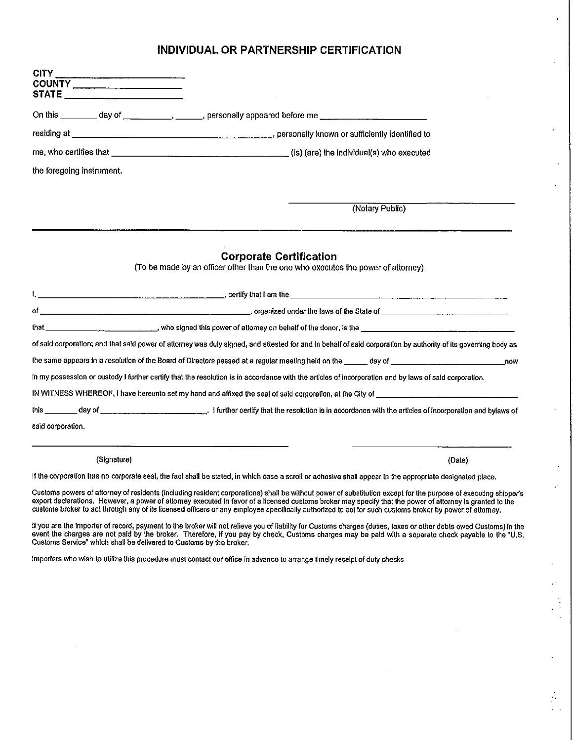# INDIVIDUAL OR PARTNERSHIP CERTIFICATION

 $\overline{\phantom{a}}$ 

 $\ddot{\phantom{a}}$ 

 $\overline{a}$ 

 $\frac{1}{2}$  $\mathcal{L}^{\mathcal{L}}$ 

| CITY                                                                |                                                                                                                                                                                                                                                                                                                                                                                                                                                                                        |
|---------------------------------------------------------------------|----------------------------------------------------------------------------------------------------------------------------------------------------------------------------------------------------------------------------------------------------------------------------------------------------------------------------------------------------------------------------------------------------------------------------------------------------------------------------------------|
| COUNTY _____________________<br>STATE ___________________________   |                                                                                                                                                                                                                                                                                                                                                                                                                                                                                        |
|                                                                     | On this __________ day of ______________________, personally appeared before me ____________________                                                                                                                                                                                                                                                                                                                                                                                   |
|                                                                     |                                                                                                                                                                                                                                                                                                                                                                                                                                                                                        |
|                                                                     |                                                                                                                                                                                                                                                                                                                                                                                                                                                                                        |
| the foregoing instrument.                                           |                                                                                                                                                                                                                                                                                                                                                                                                                                                                                        |
|                                                                     | (Notary Public)                                                                                                                                                                                                                                                                                                                                                                                                                                                                        |
|                                                                     | <b>Corporate Certification</b><br>(To be made by an officer other than the one who executes the power of attorney)                                                                                                                                                                                                                                                                                                                                                                     |
|                                                                     |                                                                                                                                                                                                                                                                                                                                                                                                                                                                                        |
|                                                                     |                                                                                                                                                                                                                                                                                                                                                                                                                                                                                        |
|                                                                     | that __________________________________, who signed this power of attomey on behalf of the donor, is the ______________________________                                                                                                                                                                                                                                                                                                                                                |
|                                                                     | of said corporation; and that said power of attorney was duly signed, and attested for and in behalf of said corporation by authority of its governing body as                                                                                                                                                                                                                                                                                                                         |
|                                                                     |                                                                                                                                                                                                                                                                                                                                                                                                                                                                                        |
|                                                                     | in my possession or custody I further certify that the resolution is in accordance with the articles of incorporation and by laws of said corporation.                                                                                                                                                                                                                                                                                                                                 |
|                                                                     | IN WITNESS WHEREOF, I have hereunto set my hand and affixed the seal of said corporation, at the City of $\ldots$                                                                                                                                                                                                                                                                                                                                                                      |
|                                                                     |                                                                                                                                                                                                                                                                                                                                                                                                                                                                                        |
| said corporation.                                                   |                                                                                                                                                                                                                                                                                                                                                                                                                                                                                        |
| (Signature)                                                         | (Date)                                                                                                                                                                                                                                                                                                                                                                                                                                                                                 |
|                                                                     | If the corporation has no corporate seal, the fact shall be stated, in which case a scroll or adhesive shall appear in the appropriate designated place.                                                                                                                                                                                                                                                                                                                               |
|                                                                     | Customs powers of attorney of residents (including resident corporations) shall be without power of substitution except for the purpose of executing shipper's<br>export declarations. However, a power of attorney executed in favor of a licensed customs broker may specify that the power of attorney is granted to the<br>customs broker to act through any of its licensed officers or any employee specifically authorized to act for such customs broker by power of attorney. |
| Customs Service" which shall be delivered to Customs by the broker. | If you are the importer of record, payment to the broker will not relieve you of Itability for Customs charges (duties, taxes or other debts owed Customs) in the<br>event the charges are not paid by the broker. Therefore, if you pay by check, Customs charges may be paid with a separate check payable to the "U.S.                                                                                                                                                              |

Importers who wish to utilize this procedure must contact our office in advance to arrange timely receipt of duty checks

 $\sim$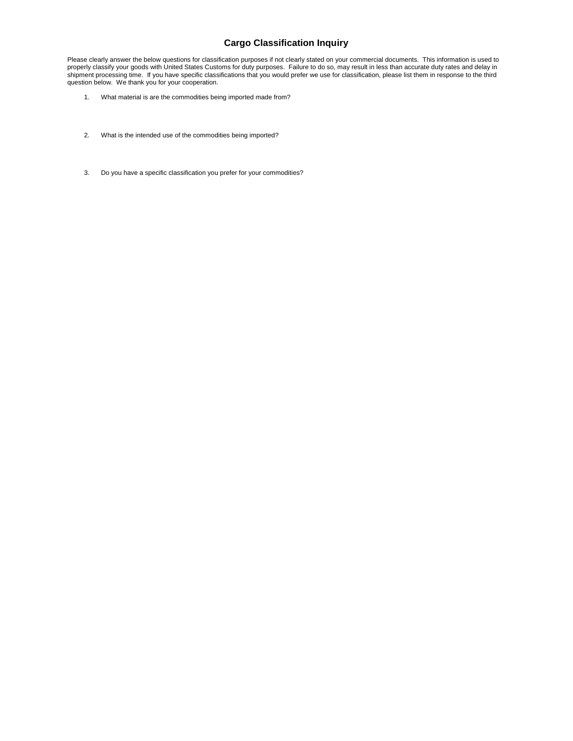## **Cargo Classification Inquiry**

Please clearly answer the below questions for classification purposes if not clearly stated on your commercial documents. This information is used to properly classify your goods with United States Customs for duty purposes. Failure to do so, may result in less than accurate duty rates and delay in shipment processing time. If you have specific classifications that you would prefer we use for classification, please list them in response to the third question below. We thank you for your cooperation.

- 1. What material is are the commodities being imported made from?
- 2. What is the intended use of the commodities being imported?
- 3. Do you have a specific classification you prefer for your commodities?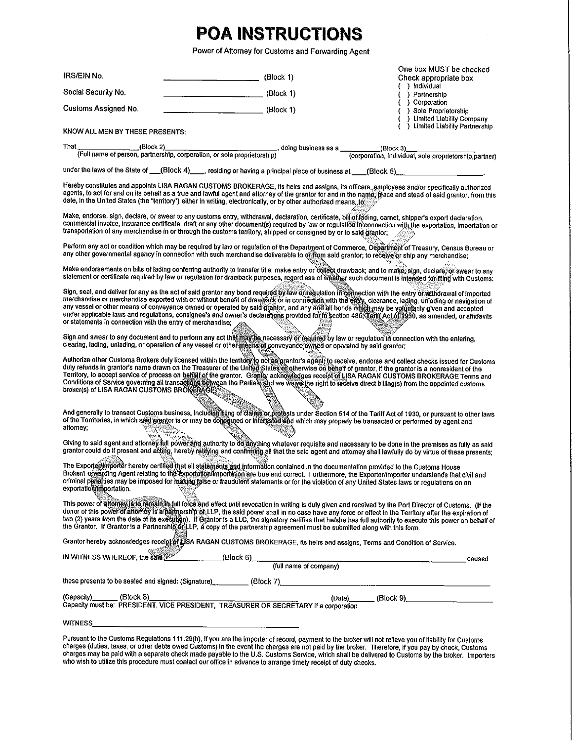# **POA INSTRUCTIONS**

Power of Attorney for Customs and Forwarding Agent

| IRS/EIN No.                                                                                                                                                                                                                                                                                                                                                                                                                                                                                                                                                                                                                                                                                | (Block 1)               | One box MUST be checked<br>Check appropriate box                                                                                             |  |  |
|--------------------------------------------------------------------------------------------------------------------------------------------------------------------------------------------------------------------------------------------------------------------------------------------------------------------------------------------------------------------------------------------------------------------------------------------------------------------------------------------------------------------------------------------------------------------------------------------------------------------------------------------------------------------------------------------|-------------------------|----------------------------------------------------------------------------------------------------------------------------------------------|--|--|
| Social Security No.                                                                                                                                                                                                                                                                                                                                                                                                                                                                                                                                                                                                                                                                        | (Block 1)               | ( ) Individual<br>( ) Partnership                                                                                                            |  |  |
| Customs Assigned No.                                                                                                                                                                                                                                                                                                                                                                                                                                                                                                                                                                                                                                                                       | $\frac{1}{1}$ (Block 1) | ( ) Corporation                                                                                                                              |  |  |
|                                                                                                                                                                                                                                                                                                                                                                                                                                                                                                                                                                                                                                                                                            |                         | ( ) Sole Proprietorship<br>( ) Limited Liability Company                                                                                     |  |  |
| KNOW ALL MEN BY THESE PRESENTS:                                                                                                                                                                                                                                                                                                                                                                                                                                                                                                                                                                                                                                                            |                         | ( ) Limited Liability Partnership                                                                                                            |  |  |
| That                                                                                                                                                                                                                                                                                                                                                                                                                                                                                                                                                                                                                                                                                       |                         | (Block 2)<br>(Full name of person, partnership, corporation, or sole proprietorship) (corporation, individual, sole proprietorship, partner) |  |  |
|                                                                                                                                                                                                                                                                                                                                                                                                                                                                                                                                                                                                                                                                                            |                         |                                                                                                                                              |  |  |
| under the laws of the State of __(Block 4)___, residing or having a principal place of business at ___(Block 5)_____________________,                                                                                                                                                                                                                                                                                                                                                                                                                                                                                                                                                      |                         |                                                                                                                                              |  |  |
| Hereby constitutes and appoints LISA RAGAN CUSTOMS BROKERAGE, its heirs and assigns, its officers, employees and/or specifically authorized<br>agents, to act for and on its behalf as a true and lawful agent and attorney of the grantor for and in the name, place and stead of said grantor, from this<br>date, in the United States (the "territory") either in writing, electronically, or by other authorized means, to:                                                                                                                                                                                                                                                            |                         |                                                                                                                                              |  |  |
| Make, endorse, sign, declare, or swear to any customs entry, withdrawal, declaration, certificate, bill of lading, carnet, shipper's export declaration,<br>commercial invoice, insurance certificate, draft or any other document(s) required by law or regulation in connection with the exportation, importation or<br>transportation of any merchandise in or through the customs territory, shipped or consigned by or to said grantor;                                                                                                                                                                                                                                               |                         |                                                                                                                                              |  |  |
| Perform any act or condition which may be required by law or regulation of the Department of Commerce, Department of Treasury, Census Bureau or<br>any other governmental agency in connection with such merchandise deliverable to of from said grantor, to receive or ship any merchandise;                                                                                                                                                                                                                                                                                                                                                                                              |                         |                                                                                                                                              |  |  |
| Make endorsements on bills of lading conferring authority to transfer title; make entry or collect drawback; and to make, sign, declare, or swear to any<br>statement or certificate required by law or regulation for drawback purposes, regardless of whether such document is intended for filing with Customs:                                                                                                                                                                                                                                                                                                                                                                         |                         |                                                                                                                                              |  |  |
| Sign, seal, and deliver for any as the act of said grantor any bond required by law of regulation in connection with the entry or withdrawal of imported<br>merchandise or merchandise exported with or without benefit of drawback or in connection with the entry, clearance, lading, unlading or navigation of<br>any vessel or other means of conveyance owned or operated by said grantor, and any and all bonds which may be voluntarily given and accepted<br>under applicable laws and regulations, consignee's and owner's declarations provided for in section 486, Tent(Act of 1930, as amended, or affidavits<br>or statements in connection with the entry of merchandise: as |                         |                                                                                                                                              |  |  |
| Sign and swear to any document and to perform any act that may be necessary or required by law or regulation in connection with the entering.<br>clearing, lading, unlading, or operation of any vessel or other means of conveyance owned or operated by said grantor;                                                                                                                                                                                                                                                                                                                                                                                                                    |                         |                                                                                                                                              |  |  |
| Authorize other Customs Brokers duly licensed within the territory to act as grantor's again; to receive, endorse and collect checks issued for Customs<br>duty refunds in grantor's name drawn on the Treasurer of the United States of otherwise on behalf of grantor, if the grantor is a nonresident of the<br>Territory, to accept service of process on betainof the grantor. Grantor acknowledges receipt of LISA RAGAN CUSTOMS BROKERAGE Terms and<br>Conditions of Service governing all transactions between the Parties, and we waive the right to receive direct billing(s) from the appointed customs<br>broker(s) of LISA RAGAN CUSTOMS BROKERAGE                            |                         |                                                                                                                                              |  |  |
| And generally to transact Customs business, including filing of claims or prodests under Section 514 of the Tariff Act of 1930, or pursuant to other laws<br>of the Territories, in which said grantor is or may be correcting or interested and which may properly be transacted or performed by agent and<br>attorney;                                                                                                                                                                                                                                                                                                                                                                   |                         |                                                                                                                                              |  |  |
| Giving to said agent and attorney full power and authority to do anything whatever requisite and necessary to be done in the premises as fully as said<br>grantor could do if present and acting, hereby ratifying and confirming all that the said agent and attorney shall lawfully do by virtue of these presents;                                                                                                                                                                                                                                                                                                                                                                      |                         |                                                                                                                                              |  |  |
| The Exportent mooter hereby certified that all statements and information contained in the documentation provided to the Customs House<br>Broker/Forkarding Agent relating to the exportation/importation are true and correct. Furthermore, the Exporter/importer understands that civil and<br>criminal penalties may be imposed for making false or fraudulent statements or for the violation of any United States laws or regulations on an<br>exportation/importation.                                                                                                                                                                                                               |                         |                                                                                                                                              |  |  |
| This power of attorney is to remain in full force and effect until revocation in writing is duly given and received by the Port Director of Customs. (If the<br>donor of this power of altorney is a partnership of LLP, the said power shall in no case have any force or effect in the Territory after the expiration of<br>two (2) years from the date of its execution). If Grantor is a LLC, the signatory certifies that he/she has full authority to execute this power on behalf of<br>the Grantor. If Grantor is a Partnership on LP, a copy of the partnership agreement must be submitted along with this form.                                                                 |                         |                                                                                                                                              |  |  |
| Grantor hereby acknowledges receiptor is RAGAN CUSTOMS BROKERAGE, its heirs and assigns, Terms and Condition of Service.                                                                                                                                                                                                                                                                                                                                                                                                                                                                                                                                                                   |                         |                                                                                                                                              |  |  |
| IN WITNESS WHEREOF, the said                                                                                                                                                                                                                                                                                                                                                                                                                                                                                                                                                                                                                                                               |                         | caused                                                                                                                                       |  |  |
|                                                                                                                                                                                                                                                                                                                                                                                                                                                                                                                                                                                                                                                                                            |                         |                                                                                                                                              |  |  |
|                                                                                                                                                                                                                                                                                                                                                                                                                                                                                                                                                                                                                                                                                            |                         |                                                                                                                                              |  |  |
| (Capacity) (Block 8) (Date) (Date) (Block 9)<br>Capacity must be: PRESIDENT, VICE PRESIDENT, TREASURER OR SECRETARY if a corporation                                                                                                                                                                                                                                                                                                                                                                                                                                                                                                                                                       |                         |                                                                                                                                              |  |  |
|                                                                                                                                                                                                                                                                                                                                                                                                                                                                                                                                                                                                                                                                                            |                         |                                                                                                                                              |  |  |
| Pursuant to the Customs Regulations 111.29(b), if you are the importer of record, payment to the broker will not relieve you of liability for Customs                                                                                                                                                                                                                                                                                                                                                                                                                                                                                                                                      |                         |                                                                                                                                              |  |  |

Pursuant to the Customs Regulations 111.29(b), if you are the importer or record, payment to the broker will not relieve you of Bability for Customs<br>charges (duties, taxes, or other debts owed Customs) in the event the cha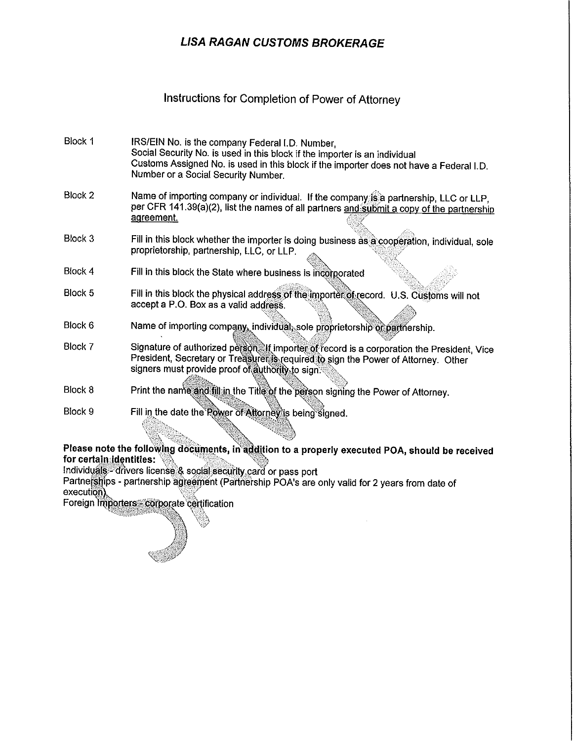# **LISA RAGAN CUSTOMS BROKERAGE**

## Instructions for Completion of Power of Attorney

- IRS/EIN No. is the company Federal I.D. Number, Block 1 Social Security No. is used in this block if the importer is an individual Customs Assigned No. is used in this block if the importer does not have a Federal I.D. Number or a Social Security Number.
- Block 2 Name of importing company or individual. If the company is a partnership. LLC or LLP. per CFR 141.39(a)(2), list the names of all partners and submit a copy of the partnership agreement.
- Block 3 Fill in this block whether the importer is doing business as a cooperation, individual, sole proprietorship, partnership, LLC, or LLP.
- Fill in this block the State where business is incorporated Block 4
- Block 5 Fill in this block the physical address of the importer of record. U.S. Customs will not accept a P.O. Box as a valid address.
- Block 6 Name of importing company, individual, sole proprietorship or partnership.
- Block 7 Signature of authorized person. If importer of record is a corporation the President, Vice President, Secretary or Treasurer S required to sign the Power of Attorney. Other signers must provide proof of authority to sign.
- Block 8 Print the name and fill in the Title of the person signing the Power of Attorney.
- Fill in the date the Rower of Attorney is being signed. Block 9

## Please note the following documents, in addition to a properly executed POA, should be received for certain identities:

Individuals - drivers license & social security card or pass port

Partnerships - partnership agreement (Partnership POA's are only valid for 2 years from date of execution).

Foreign Importers corporate certification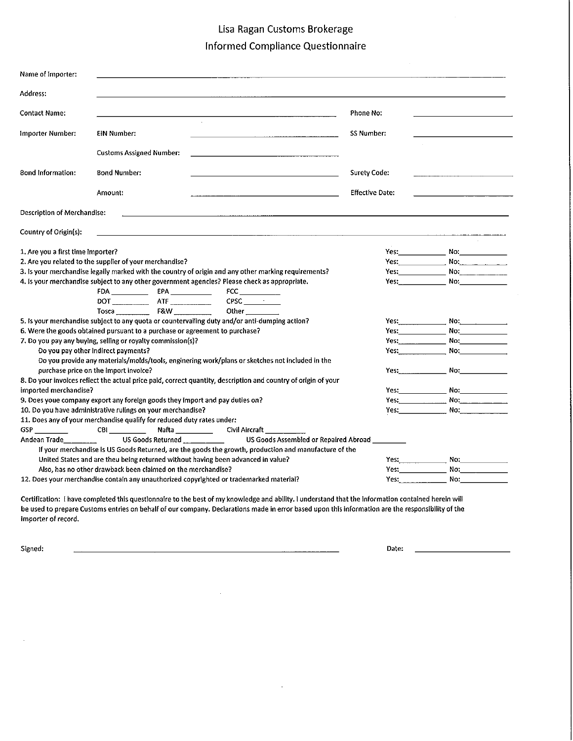# Lisa Ragan Customs Brokerage

# **Informed Compliance Questionnaire**

| Name of Importer:                                                                                                                                                                                    |                                     |  |                                                                                                                                                                                                                                                                                                                                 |                        |                                                       |  |  |
|------------------------------------------------------------------------------------------------------------------------------------------------------------------------------------------------------|-------------------------------------|--|---------------------------------------------------------------------------------------------------------------------------------------------------------------------------------------------------------------------------------------------------------------------------------------------------------------------------------|------------------------|-------------------------------------------------------|--|--|
| Address:                                                                                                                                                                                             |                                     |  |                                                                                                                                                                                                                                                                                                                                 |                        |                                                       |  |  |
| <b>Contact Name:</b>                                                                                                                                                                                 |                                     |  |                                                                                                                                                                                                                                                                                                                                 | Phone No:              |                                                       |  |  |
| Importer Number:                                                                                                                                                                                     | EIN Number:                         |  |                                                                                                                                                                                                                                                                                                                                 | <b>SS Number:</b>      |                                                       |  |  |
|                                                                                                                                                                                                      | <b>Customs Assigned Number:</b>     |  |                                                                                                                                                                                                                                                                                                                                 |                        |                                                       |  |  |
| <b>Bond Information:</b>                                                                                                                                                                             | <b>Bond Number:</b>                 |  |                                                                                                                                                                                                                                                                                                                                 | <b>Surety Code:</b>    |                                                       |  |  |
|                                                                                                                                                                                                      | Amount:                             |  |                                                                                                                                                                                                                                                                                                                                 | <b>Effective Date:</b> |                                                       |  |  |
| Description of Merchandise:                                                                                                                                                                          |                                     |  |                                                                                                                                                                                                                                                                                                                                 |                        |                                                       |  |  |
| Country of Origin(s):                                                                                                                                                                                |                                     |  | <u> 1980 - Johann John Stein, markin film ar yn y breninn y breninn y breninn y breninn y breninn y breninn y bre</u>                                                                                                                                                                                                           |                        |                                                       |  |  |
| 1. Are you a first time importer?<br>2. Are you related to the supplier of your merchandise?<br>3. Is your merchandise legally marked with the country of origin and any other marking requirements? |                                     |  |                                                                                                                                                                                                                                                                                                                                 |                        |                                                       |  |  |
|                                                                                                                                                                                                      | $FDA$ $FDA$ $FPA$ $T = TQ$          |  | 4. Is your merchandise subject to any other government agencies? Please check as appropriate.<br>FCC and the state of the state of the state of the state of the state of the state of the state of the state of the state of the state of the state of the state of the state of the state of the state of the state of the st |                        |                                                       |  |  |
|                                                                                                                                                                                                      |                                     |  | Other and the state of the state of the state of the state of the state of the state of the state of the state                                                                                                                                                                                                                  |                        |                                                       |  |  |
|                                                                                                                                                                                                      |                                     |  | 5. Is your merchandise subject to any quota or countervailing duty and/or anti-dumping action?                                                                                                                                                                                                                                  |                        | Yes: No: No: 2008                                     |  |  |
| 6. Were the goods obtained pursuant to a purchase or agreement to purchase?                                                                                                                          |                                     |  |                                                                                                                                                                                                                                                                                                                                 |                        | <b>The Second Property Property Property Property</b> |  |  |
| 7. Do you pay any buying, selling or royalty commission(s)?                                                                                                                                          |                                     |  |                                                                                                                                                                                                                                                                                                                                 | Yes: No: No:           |                                                       |  |  |
|                                                                                                                                                                                                      | Do you pay other indirect payments? |  |                                                                                                                                                                                                                                                                                                                                 |                        | <b>Yes:</b> No: No:                                   |  |  |
|                                                                                                                                                                                                      |                                     |  | Do you provide any materials/molds/tools, enginering work/plans or sketches not included in the                                                                                                                                                                                                                                 |                        |                                                       |  |  |
| purchase price on the import invoice?                                                                                                                                                                |                                     |  |                                                                                                                                                                                                                                                                                                                                 |                        | Yes: No: No:                                          |  |  |
|                                                                                                                                                                                                      |                                     |  | 8. Do your invoices reflect the actual price paid, correct quantity, description and country of origin of your                                                                                                                                                                                                                  |                        |                                                       |  |  |
| imported merchandise?                                                                                                                                                                                |                                     |  |                                                                                                                                                                                                                                                                                                                                 |                        |                                                       |  |  |
| 9. Does youe company export any foreign goods they import and pay duties on?                                                                                                                         |                                     |  |                                                                                                                                                                                                                                                                                                                                 | Yes: No: No:           |                                                       |  |  |
| 10. Do you have administrative rulings on your merchandise?                                                                                                                                          |                                     |  |                                                                                                                                                                                                                                                                                                                                 |                        |                                                       |  |  |
| 11. Does any of your merchandise qualify for reduced duty rates under:                                                                                                                               |                                     |  |                                                                                                                                                                                                                                                                                                                                 |                        |                                                       |  |  |
| CBI<br>Nafta ________________Civil Aircraft _____________<br>Andean Trade<br>US Goods Returned ____________<br>US Goods Assembled or Repaired Abroad                                                 |                                     |  |                                                                                                                                                                                                                                                                                                                                 |                        |                                                       |  |  |
| If your merchandise is US Goods Returned, are the goods the growth, production and manufacture of the                                                                                                |                                     |  |                                                                                                                                                                                                                                                                                                                                 |                        |                                                       |  |  |
| United States and are theu being returned without having been advanced in value?                                                                                                                     |                                     |  |                                                                                                                                                                                                                                                                                                                                 |                        |                                                       |  |  |
| Also, has no other drawback been claimed on the merchandise?                                                                                                                                         |                                     |  |                                                                                                                                                                                                                                                                                                                                 |                        | Yes: No: No:                                          |  |  |
| 12. Does your merchandise contain any unauthorized copyrighted or trademarked material?                                                                                                              |                                     |  |                                                                                                                                                                                                                                                                                                                                 | Yes: No: No:           |                                                       |  |  |
|                                                                                                                                                                                                      |                                     |  |                                                                                                                                                                                                                                                                                                                                 |                        |                                                       |  |  |

Certification: I have completed this questionnaire to the best of my knowledge and ability. I understand that the information contained herein will be used to prepare Customs entries on behalf of our company. Declarations made in error based upon this information are the responsibility of the importer of record.

 $\bar{z}$ 

Signed:

Date:

 $\sim$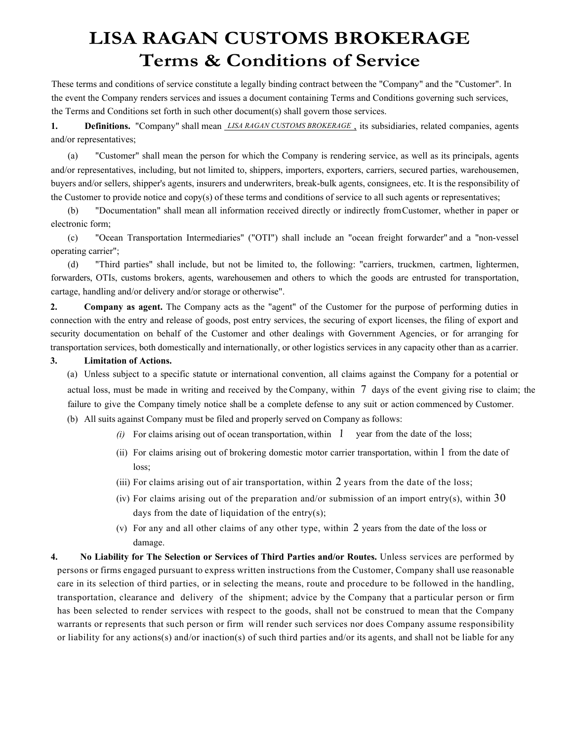# **LISA RAGAN CUSTOMS BROKERAGE Terms & Conditions of Service**

These terms and conditions of service constitute a legally binding contract between the "Company" and the "Customer". In the event the Company renders services and issues a document containing Terms and Conditions governing such services, the Terms and Conditions set forth in such other document(s) shall govern those services.

**1. Definitions.** "Company" shall mean *LISA RAGAN CUSTOMS BROKERAGE* , its subsidiaries, related companies, agents and/or representatives;

(a) "Customer" shall mean the person for which the Company is rendering service, as well as its principals, agents and/or representatives, including, but not limited to, shippers, importers, exporters, carriers, secured parties, warehousemen, buyers and/or sellers, shipper's agents, insurers and underwriters, break-bulk agents, consignees, etc. It is the responsibility of the Customer to provide notice and copy(s) of these terms and conditions of service to all such agents or representatives;

(b) "Documentation" shall mean all information received directly or indirectly fromCustomer, whether in paper or electronic form;

(c) "Ocean Transportation Intermediaries" ("OTI") shall include an "ocean freight forwarder" and a "non-vessel operating carrier";

(d) "Third parties" shall include, but not be limited to, the following: "carriers, truckmen, cartmen, lightermen, forwarders, OTIs, customs brokers, agents, warehousemen and others to which the goods are entrusted for transportation, cartage, handling and/or delivery and/or storage or otherwise".

**2. Company as agent.** The Company acts as the "agent" of the Customer for the purpose of performing duties in connection with the entry and release of goods, post entry services, the securing of export licenses, the filing of export and security documentation on behalf of the Customer and other dealings with Government Agencies, or for arranging for transportation services, both domestically and internationally, or other logistics services in any capacity other than as a carrier.

#### **3. Limitation of Actions.**

(a) Unless subject to a specific statute or international convention, all claims against the Company for a potential or actual loss, must be made in writing and received by the Company, within 7days of the event giving rise to claim; the failure to give the Company timely notice shall be a complete defense to any suit or action commenced by Customer.

(b) All suits against Company must be filed and properly served on Company as follows:

- *(i)* For claims arising out of ocean transportation, within 1 year from the date of the loss;
- (ii) For claims arising out of brokering domestic motor carrier transportation, within 1 from the date of loss;
- (iii) For claims arising out of air transportation, within 2 years from the date of the loss;
- (iv) For claims arising out of the preparation and/or submission of an import entry(s), within  $30$ days from the date of liquidation of the entry(s);
- (v) For any and all other claims of any other type, within 2 years from the date of the loss or damage.
- **4. No Liability for The Selection or Services of Third Parties and/or Routes.** Unless services are performed by persons or firms engaged pursuant to express written instructions from the Customer, Company shall use reasonable care in its selection of third parties, or in selecting the means, route and procedure to be followed in the handling, transportation, clearance and delivery of the shipment; advice by the Company that a particular person or firm has been selected to render services with respect to the goods, shall not be construed to mean that the Company warrants or represents that such person or firm will render such services nor does Company assume responsibility or liability for any actions(s) and/or inaction(s) of such third parties and/or its agents, and shall not be liable for any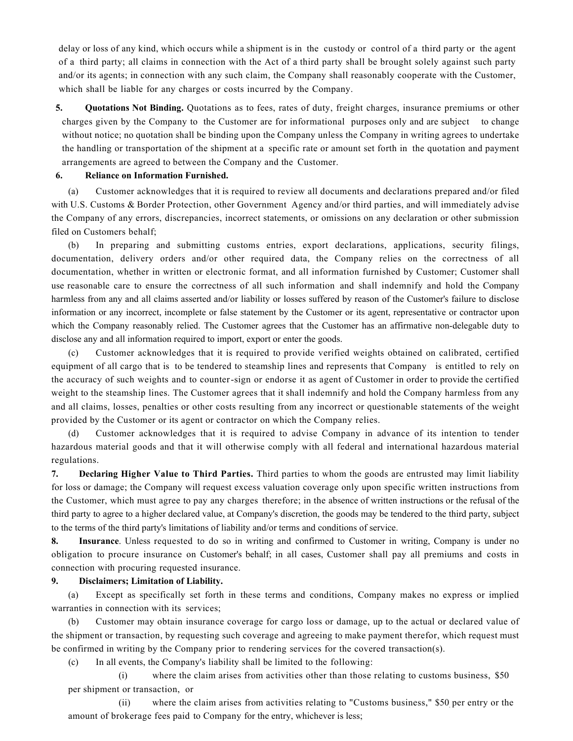delay or loss of any kind, which occurs while a shipment is in the custody or control of a third party or the agent of a third party; all claims in connection with the Act of a third party shall be brought solely against such party and/or its agents; in connection with any such claim, the Company shall reasonably cooperate with the Customer, which shall be liable for any charges or costs incurred by the Company.

**5. Quotations Not Binding.** Quotations as to fees, rates of duty, freight charges, insurance premiums or other charges given by the Company to the Customer are for informational purposes only and are subject to change without notice; no quotation shall be binding upon the Company unless the Company in writing agrees to undertake the handling or transportation of the shipment at a specific rate or amount set forth in the quotation and payment arrangements are agreed to between the Company and the Customer.

### **6. Reliance on Information Furnished.**

(a) Customer acknowledges that it is required to review all documents and declarations prepared and/or filed with U.S. Customs & Border Protection, other Government Agency and/or third parties, and will immediately advise the Company of any errors, discrepancies, incorrect statements, or omissions on any declaration or other submission filed on Customers behalf;

(b) In preparing and submitting customs entries, export declarations, applications, security filings, documentation, delivery orders and/or other required data, the Company relies on the correctness of all documentation, whether in written or electronic format, and all information furnished by Customer; Customer shall use reasonable care to ensure the correctness of all such information and shall indemnify and hold the Company harmless from any and all claims asserted and/or liability or losses suffered by reason of the Customer's failure to disclose information or any incorrect, incomplete or false statement by the Customer or its agent, representative or contractor upon which the Company reasonably relied. The Customer agrees that the Customer has an affirmative non-delegable duty to disclose any and all information required to import, export or enter the goods.

(c) Customer acknowledges that it is required to provide verified weights obtained on calibrated, certified equipment of all cargo that is to be tendered to steamship lines and represents that Company is entitled to rely on the accuracy of such weights and to counter -sign or endorse it as agent of Customer in order to provide the certified weight to the steamship lines. The Customer agrees that it shall indemnify and hold the Company harmless from any and all claims, losses, penalties or other costs resulting from any incorrect or questionable statements of the weight provided by the Customer or its agent or contractor on which the Company relies.

(d) Customer acknowledges that it is required to advise Company in advance of its intention to tender hazardous material goods and that it will otherwise comply with all federal and international hazardous material regulations.

**7. Declaring Higher Value to Third Parties.** Third parties to whom the goods are entrusted may limit liability for loss or damage; the Company will request excess valuation coverage only upon specific written instructions from the Customer, which must agree to pay any charges therefore; in the absence of written instructions or the refusal of the third party to agree to a higher declared value, at Company's discretion, the goods may be tendered to the third party, subject to the terms of the third party's limitations of liability and/or terms and conditions of service.

**8. Insurance**. Unless requested to do so in writing and confirmed to Customer in writing, Company is under no obligation to procure insurance on Customer's behalf; in all cases, Customer shall pay all premiums and costs in connection with procuring requested insurance.

#### **9. Disclaimers; Limitation of Liability.**

(a) Except as specifically set forth in these terms and conditions, Company makes no express or implied warranties in connection with its services;

(b) Customer may obtain insurance coverage for cargo loss or damage, up to the actual or declared value of the shipment or transaction, by requesting such coverage and agreeing to make payment therefor, which request must be confirmed in writing by the Company prior to rendering services for the covered transaction(s).

(c) In all events, the Company's liability shall be limited to the following:

(i) where the claim arises from activities other than those relating to customs business, \$50 per shipment or transaction, or

(ii) where the claim arises from activities relating to "Customs business," \$50 per entry or the amount of brokerage fees paid to Company for the entry, whichever is less;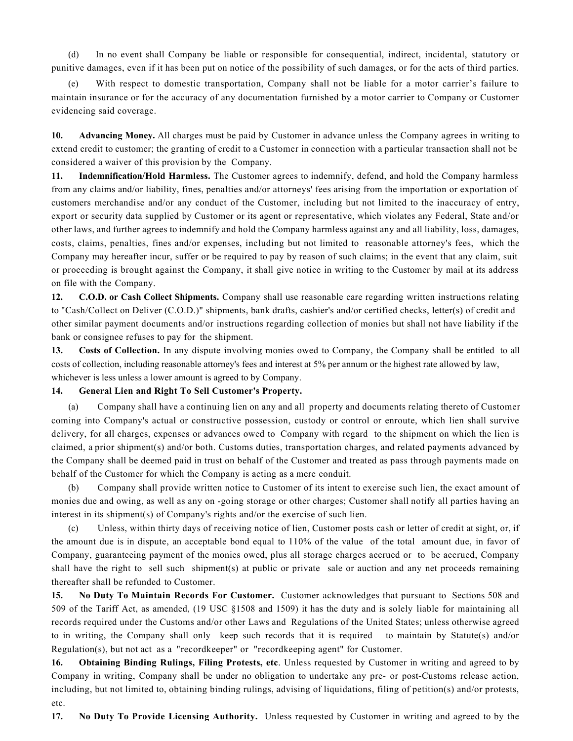(d) In no event shall Company be liable or responsible for consequential, indirect, incidental, statutory or punitive damages, even if it has been put on notice of the possibility of such damages, or for the acts of third parties.

(e) With respect to domestic transportation, Company shall not be liable for a motor carrier's failure to maintain insurance or for the accuracy of any documentation furnished by a motor carrier to Company or Customer evidencing said coverage.

**10. Advancing Money.** All charges must be paid by Customer in advance unless the Company agrees in writing to extend credit to customer; the granting of credit to a Customer in connection with a particular transaction shall not be considered a waiver of this provision by the Company.

**11. Indemnification/Hold Harmless.** The Customer agrees to indemnify, defend, and hold the Company harmless from any claims and/or liability, fines, penalties and/or attorneys' fees arising from the importation or exportation of customers merchandise and/or any conduct of the Customer, including but not limited to the inaccuracy of entry, export or security data supplied by Customer or its agent or representative, which violates any Federal, State and/or other laws, and further agrees to indemnify and hold the Company harmless against any and all liability, loss, damages, costs, claims, penalties, fines and/or expenses, including but not limited to reasonable attorney's fees, which the Company may hereafter incur, suffer or be required to pay by reason of such claims; in the event that any claim, suit or proceeding is brought against the Company, it shall give notice in writing to the Customer by mail at its address on file with the Company.

**12. C.O.D. or Cash Collect Shipments.** Company shall use reasonable care regarding written instructions relating to "Cash/Collect on Deliver (C.O.D.)" shipments, bank drafts, cashier's and/or certified checks, letter(s) of credit and other similar payment documents and/or instructions regarding collection of monies but shall not have liability if the bank or consignee refuses to pay for the shipment.

**13. Costs of Collection.** In any dispute involving monies owed to Company, the Company shall be entitled to all costs of collection, including reasonable attorney's fees and interest at 5% per annum or the highest rate allowed by law, whichever is less unless a lower amount is agreed to by Company.

## **14. General Lien and Right To Sell Customer's Property.**

(a) Company shall have a continuing lien on any and all property and documents relating thereto of Customer coming into Company's actual or constructive possession, custody or control or enroute, which lien shall survive delivery, for all charges, expenses or advances owed to Company with regard to the shipment on which the lien is claimed, a prior shipment(s) and/or both. Customs duties, transportation charges, and related payments advanced by the Company shall be deemed paid in trust on behalf of the Customer and treated as pass through payments made on behalf of the Customer for which the Company is acting as a mere conduit.

(b) Company shall provide written notice to Customer of its intent to exercise such lien, the exact amount of monies due and owing, as well as any on -going storage or other charges; Customer shall notify all parties having an interest in its shipment(s) of Company's rights and/or the exercise of such lien.

(c) Unless, within thirty days of receiving notice of lien, Customer posts cash or letter of credit at sight, or, if the amount due is in dispute, an acceptable bond equal to 110% of the value of the total amount due, in favor of Company, guaranteeing payment of the monies owed, plus all storage charges accrued or to be accrued, Company shall have the right to sell such shipment(s) at public or private sale or auction and any net proceeds remaining thereafter shall be refunded to Customer.

**15. No Duty To Maintain Records For Customer.** Customer acknowledges that pursuant to Sections 508 and 509 of the Tariff Act, as amended, (19 USC §1508 and 1509) it has the duty and is solely liable for maintaining all records required under the Customs and/or other Laws and Regulations of the United States; unless otherwise agreed to in writing, the Company shall only keep such records that it is required to maintain by Statute(s) and/or Regulation(s), but not act as a "recordkeeper" or "recordkeeping agent" for Customer.

**16. Obtaining Binding Rulings, Filing Protests, etc**. Unless requested by Customer in writing and agreed to by Company in writing, Company shall be under no obligation to undertake any pre- or post-Customs release action, including, but not limited to, obtaining binding rulings, advising of liquidations, filing of petition(s) and/or protests, etc.

**17. No Duty To Provide Licensing Authority.** Unless requested by Customer in writing and agreed to by the